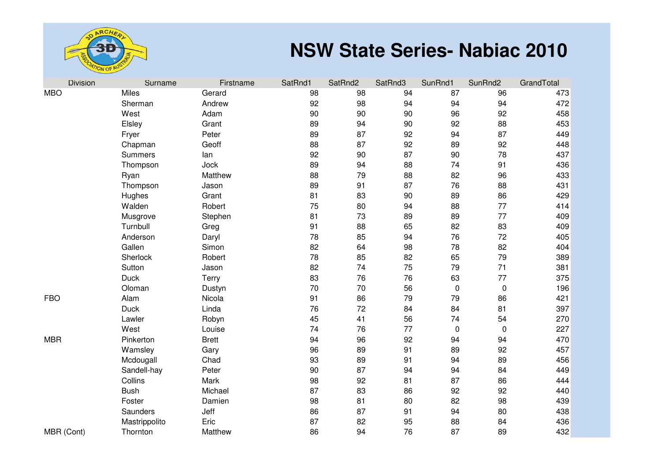

| Division   | Surname        | Firstname    | SatRnd1 | SatRnd2 | SatRnd3 | SunRnd1 | SunRnd2   | GrandTotal |
|------------|----------------|--------------|---------|---------|---------|---------|-----------|------------|
| <b>MBO</b> | Miles          | Gerard       | 98      | 98      | 94      | 87      | 96        | 473        |
|            | Sherman        | Andrew       | 92      | 98      | 94      | 94      | 94        | 472        |
|            | West           | Adam         | 90      | 90      | 90      | 96      | 92        | 458        |
|            | Elsley         | Grant        | 89      | 94      | 90      | 92      | 88        | 453        |
|            | Fryer          | Peter        | 89      | 87      | 92      | 94      | 87        | 449        |
|            | Chapman        | Geoff        | 88      | 87      | 92      | 89      | 92        | 448        |
|            | <b>Summers</b> | lan          | 92      | 90      | 87      | 90      | 78        | 437        |
|            | Thompson       | Jock         | 89      | 94      | 88      | 74      | 91        | 436        |
|            | Ryan           | Matthew      | 88      | 79      | 88      | 82      | 96        | 433        |
|            | Thompson       | Jason        | 89      | 91      | 87      | 76      | 88        | 431        |
|            | Hughes         | Grant        | 81      | 83      | 90      | 89      | 86        | 429        |
|            | Walden         | Robert       | 75      | 80      | 94      | 88      | 77        | 414        |
|            | Musgrove       | Stephen      | 81      | 73      | 89      | 89      | 77        | 409        |
|            | Turnbull       | Greg         | 91      | 88      | 65      | 82      | 83        | 409        |
|            | Anderson       | Daryl        | 78      | 85      | 94      | 76      | 72        | 405        |
|            | Gallen         | Simon        | 82      | 64      | 98      | 78      | 82        | 404        |
|            | Sherlock       | Robert       | 78      | 85      | 82      | 65      | 79        | 389        |
|            | Sutton         | Jason        | 82      | 74      | 75      | 79      | 71        | 381        |
|            | <b>Duck</b>    | Terry        | 83      | 76      | 76      | 63      | 77        | 375        |
|            | Oloman         | Dustyn       | 70      | 70      | 56      | 0       | 0         | 196        |
| <b>FBO</b> | Alam           | Nicola       | 91      | 86      | 79      | 79      | 86        | 421        |
|            | <b>Duck</b>    | Linda        | 76      | 72      | 84      | 84      | 81        | 397        |
|            | Lawler         | Robyn        | 45      | 41      | 56      | 74      | 54        | 270        |
|            | West           | Louise       | 74      | 76      | 77      | 0       | $\pmb{0}$ | 227        |
| <b>MBR</b> | Pinkerton      | <b>Brett</b> | 94      | 96      | 92      | 94      | 94        | 470        |
|            | Wamsley        | Gary         | 96      | 89      | 91      | 89      | 92        | 457        |
|            | Mcdougall      | Chad         | 93      | 89      | 91      | 94      | 89        | 456        |
|            | Sandell-hay    | Peter        | 90      | 87      | 94      | 94      | 84        | 449        |
|            | Collins        | Mark         | 98      | 92      | 81      | 87      | 86        | 444        |
|            | <b>Bush</b>    | Michael      | 87      | 83      | 86      | 92      | 92        | 440        |
|            | Foster         | Damien       | 98      | 81      | 80      | 82      | 98        | 439        |
|            | Saunders       | Jeff         | 86      | 87      | 91      | 94      | 80        | 438        |
|            | Mastrippolito  | Eric         | 87      | 82      | 95      | 88      | 84        | 436        |
| MBR (Cont) | Thornton       | Matthew      | 86      | 94      | 76      | 87      | 89        | 432        |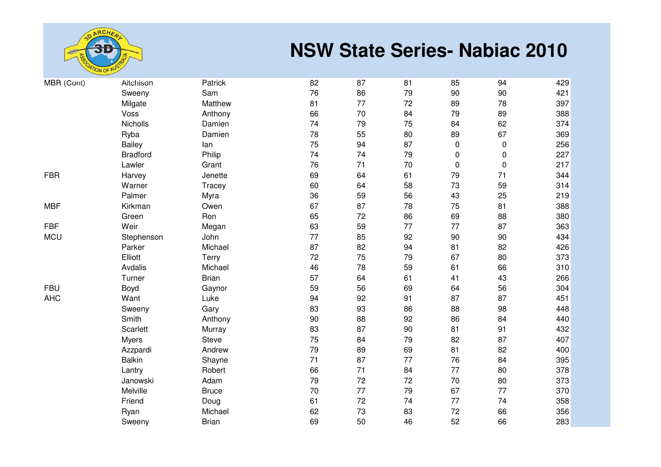

| MBR (Cont) | Aitchison       | Patrick      | 82 | 87 | 81 | 85 | 94        | 429 |
|------------|-----------------|--------------|----|----|----|----|-----------|-----|
|            | Sweeny          | Sam          | 76 | 86 | 79 | 90 | 90        | 421 |
|            | Milgate         | Matthew      | 81 | 77 | 72 | 89 | 78        | 397 |
|            | Voss            | Anthony      | 66 | 70 | 84 | 79 | 89        | 388 |
|            | Nicholls        | Damien       | 74 | 79 | 75 | 84 | 62        | 374 |
|            | Ryba            | Damien       | 78 | 55 | 80 | 89 | 67        | 369 |
|            | Bailey          | lan          | 75 | 94 | 87 | 0  | $\pmb{0}$ | 256 |
|            | <b>Bradford</b> | Philip       | 74 | 74 | 79 | 0  | 0         | 227 |
|            | Lawler          | Grant        | 76 | 71 | 70 | 0  | $\pmb{0}$ | 217 |
| <b>FBR</b> | Harvey          | Jenette      | 69 | 64 | 61 | 79 | 71        | 344 |
|            | Warner          | Tracey       | 60 | 64 | 58 | 73 | 59        | 314 |
|            | Palmer          | Myra         | 36 | 59 | 56 | 43 | 25        | 219 |
| <b>MBF</b> | Kirkman         | Owen         | 67 | 87 | 78 | 75 | 81        | 388 |
|            | Green           | Ron          | 65 | 72 | 86 | 69 | 88        | 380 |
| <b>FBF</b> | Weir            | Megan        | 63 | 59 | 77 | 77 | 87        | 363 |
| <b>MCU</b> | Stephenson      | John         | 77 | 85 | 92 | 90 | 90        | 434 |
|            | Parker          | Michael      | 87 | 82 | 94 | 81 | 82        | 426 |
|            | Elliott         | Terry        | 72 | 75 | 79 | 67 | 80        | 373 |
|            | Avdalis         | Michael      | 46 | 78 | 59 | 61 | 66        | 310 |
|            | Turner          | <b>Brian</b> | 57 | 64 | 61 | 41 | 43        | 266 |
| <b>FBU</b> | Boyd            | Gaynor       | 59 | 56 | 69 | 64 | 56        | 304 |
| <b>AHC</b> | Want            | Luke         | 94 | 92 | 91 | 87 | 87        | 451 |
|            | Sweeny          | Gary         | 83 | 93 | 86 | 88 | 98        | 448 |
|            | Smith           | Anthony      | 90 | 88 | 92 | 86 | 84        | 440 |
|            | Scarlett        | Murray       | 83 | 87 | 90 | 81 | 91        | 432 |
|            | <b>Myers</b>    | <b>Steve</b> | 75 | 84 | 79 | 82 | 87        | 407 |
|            | Azzpardi        | Andrew       | 79 | 89 | 69 | 81 | 82        | 400 |
|            | <b>Balkin</b>   | Shayne       | 71 | 87 | 77 | 76 | 84        | 395 |
|            | Lantry          | Robert       | 66 | 71 | 84 | 77 | 80        | 378 |
|            | Janowski        | Adam         | 79 | 72 | 72 | 70 | 80        | 373 |
|            | Melville        | <b>Bruce</b> | 70 | 77 | 79 | 67 | 77        | 370 |
|            | Friend          | Doug         | 61 | 72 | 74 | 77 | 74        | 358 |
|            | Ryan            | Michael      | 62 | 73 | 83 | 72 | 66        | 356 |
|            | Sweeny          | <b>Brian</b> | 69 | 50 | 46 | 52 | 66        | 283 |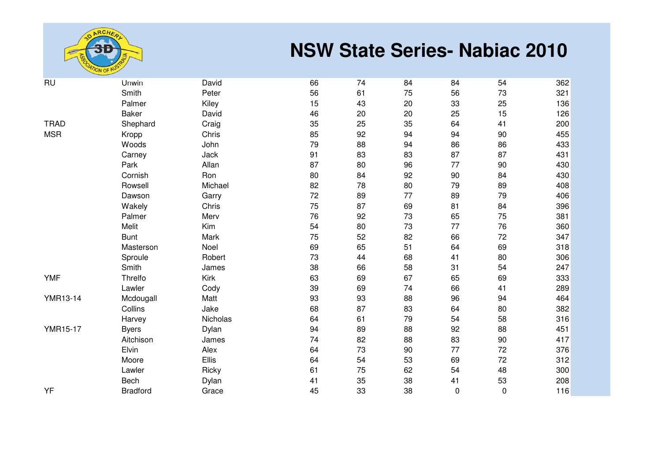

| <b>RU</b>       | Unwin           | David    | 66 | 74 | 84 | 84 | 54          | 362 |
|-----------------|-----------------|----------|----|----|----|----|-------------|-----|
|                 | Smith           | Peter    | 56 | 61 | 75 | 56 | 73          | 321 |
|                 | Palmer          | Kiley    | 15 | 43 | 20 | 33 | 25          | 136 |
|                 | <b>Baker</b>    | David    | 46 | 20 | 20 | 25 | 15          | 126 |
| <b>TRAD</b>     | Shephard        | Craig    | 35 | 25 | 35 | 64 | 41          | 200 |
| <b>MSR</b>      | Kropp           | Chris    | 85 | 92 | 94 | 94 | 90          | 455 |
|                 | Woods           | John     | 79 | 88 | 94 | 86 | 86          | 433 |
|                 | Carney          | Jack     | 91 | 83 | 83 | 87 | 87          | 431 |
|                 | Park            | Allan    | 87 | 80 | 96 | 77 | 90          | 430 |
|                 | Cornish         | Ron      | 80 | 84 | 92 | 90 | 84          | 430 |
|                 | Rowsell         | Michael  | 82 | 78 | 80 | 79 | 89          | 408 |
|                 | Dawson          | Garry    | 72 | 89 | 77 | 89 | 79          | 406 |
|                 | Wakely          | Chris    | 75 | 87 | 69 | 81 | 84          | 396 |
|                 | Palmer          | Merv     | 76 | 92 | 73 | 65 | 75          | 381 |
|                 | Melit           | Kim      | 54 | 80 | 73 | 77 | 76          | 360 |
|                 | <b>Bunt</b>     | Mark     | 75 | 52 | 82 | 66 | 72          | 347 |
|                 | Masterson       | Noel     | 69 | 65 | 51 | 64 | 69          | 318 |
|                 | Sproule         | Robert   | 73 | 44 | 68 | 41 | 80          | 306 |
|                 | Smith           | James    | 38 | 66 | 58 | 31 | 54          | 247 |
| <b>YMF</b>      | Threlfo         | Kirk     | 63 | 69 | 67 | 65 | 69          | 333 |
|                 | Lawler          | Cody     | 39 | 69 | 74 | 66 | 41          | 289 |
| <b>YMR13-14</b> | Mcdougall       | Matt     | 93 | 93 | 88 | 96 | 94          | 464 |
|                 | Collins         | Jake     | 68 | 87 | 83 | 64 | 80          | 382 |
|                 | Harvey          | Nicholas | 64 | 61 | 79 | 54 | 58          | 316 |
| <b>YMR15-17</b> | <b>Byers</b>    | Dylan    | 94 | 89 | 88 | 92 | 88          | 451 |
|                 | Aitchison       | James    | 74 | 82 | 88 | 83 | 90          | 417 |
|                 | Elvin           | Alex     | 64 | 73 | 90 | 77 | 72          | 376 |
|                 | Moore           | Ellis    | 64 | 54 | 53 | 69 | 72          | 312 |
|                 | Lawler          | Ricky    | 61 | 75 | 62 | 54 | 48          | 300 |
|                 | Bech            | Dylan    | 41 | 35 | 38 | 41 | 53          | 208 |
| YF              | <b>Bradford</b> | Grace    | 45 | 33 | 38 | 0  | $\mathbf 0$ | 116 |